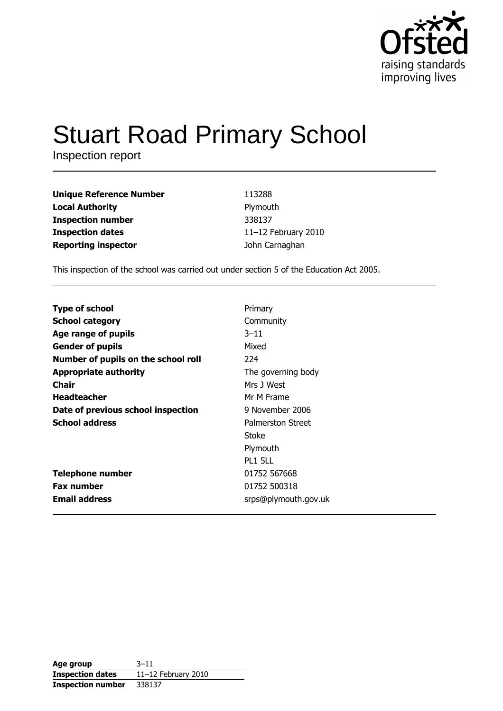

# **Stuart Road Primary School**

Inspection report

| <b>Unique Reference Number</b> | 113288              |
|--------------------------------|---------------------|
| <b>Local Authority</b>         | Plymouth            |
| <b>Inspection number</b>       | 338137              |
| <b>Inspection dates</b>        | 11-12 February 2010 |
| <b>Reporting inspector</b>     | John Carnaghan      |

This inspection of the school was carried out under section 5 of the Education Act 2005.

| <b>Type of school</b>               | Primary              |
|-------------------------------------|----------------------|
| <b>School category</b>              | Community            |
| Age range of pupils                 | $3 - 11$             |
| <b>Gender of pupils</b>             | Mixed                |
| Number of pupils on the school roll | 224                  |
| <b>Appropriate authority</b>        | The governing body   |
| Chair                               | Mrs 1 West           |
| <b>Headteacher</b>                  | Mr M Frame           |
| Date of previous school inspection  | 9 November 2006      |
| <b>School address</b>               | Palmerston Street    |
|                                     | Stoke                |
|                                     | Plymouth             |
|                                     | <b>PL1 5LL</b>       |
| <b>Telephone number</b>             | 01752 567668         |
| <b>Fax number</b>                   | 01752 500318         |
| <b>Email address</b>                | srps@plymouth.gov.uk |

| Age group                | $3 - 11$            |
|--------------------------|---------------------|
| <b>Inspection dates</b>  | 11-12 February 2010 |
| <b>Inspection number</b> | 338137              |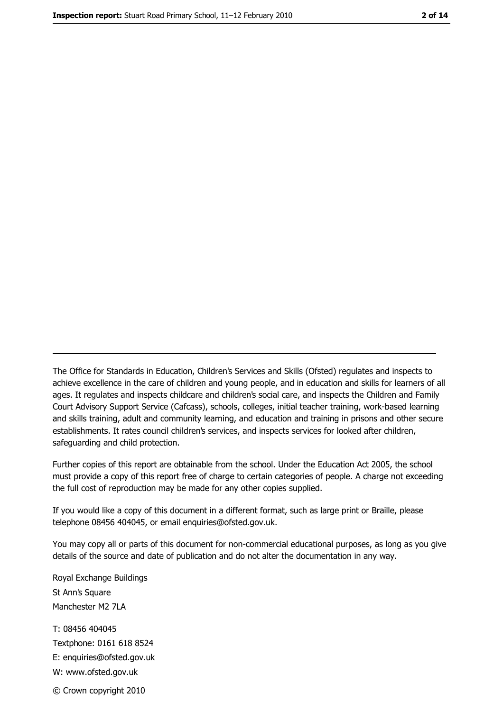The Office for Standards in Education, Children's Services and Skills (Ofsted) regulates and inspects to achieve excellence in the care of children and young people, and in education and skills for learners of all ages. It regulates and inspects childcare and children's social care, and inspects the Children and Family Court Advisory Support Service (Cafcass), schools, colleges, initial teacher training, work-based learning and skills training, adult and community learning, and education and training in prisons and other secure establishments. It rates council children's services, and inspects services for looked after children, safequarding and child protection.

Further copies of this report are obtainable from the school. Under the Education Act 2005, the school must provide a copy of this report free of charge to certain categories of people. A charge not exceeding the full cost of reproduction may be made for any other copies supplied.

If you would like a copy of this document in a different format, such as large print or Braille, please telephone 08456 404045, or email enquiries@ofsted.gov.uk.

You may copy all or parts of this document for non-commercial educational purposes, as long as you give details of the source and date of publication and do not alter the documentation in any way.

Royal Exchange Buildings St Ann's Square Manchester M2 7LA T: 08456 404045 Textphone: 0161 618 8524 E: enquiries@ofsted.gov.uk W: www.ofsted.gov.uk © Crown copyright 2010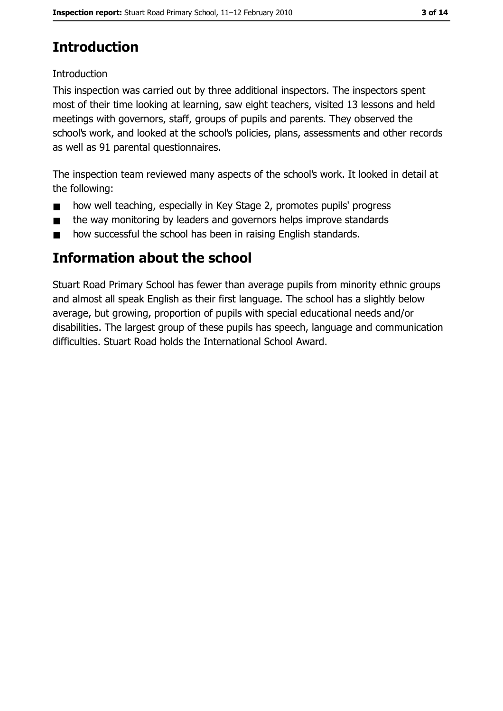# **Introduction**

#### Introduction

This inspection was carried out by three additional inspectors. The inspectors spent most of their time looking at learning, saw eight teachers, visited 13 lessons and held meetings with governors, staff, groups of pupils and parents. They observed the school's work, and looked at the school's policies, plans, assessments and other records as well as 91 parental questionnaires.

The inspection team reviewed many aspects of the school's work. It looked in detail at the following:

- how well teaching, especially in Key Stage 2, promotes pupils' progress  $\blacksquare$
- the way monitoring by leaders and governors helps improve standards  $\blacksquare$
- how successful the school has been in raising English standards.  $\blacksquare$

# **Information about the school**

Stuart Road Primary School has fewer than average pupils from minority ethnic groups and almost all speak English as their first language. The school has a slightly below average, but growing, proportion of pupils with special educational needs and/or disabilities. The largest group of these pupils has speech, language and communication difficulties. Stuart Road holds the International School Award.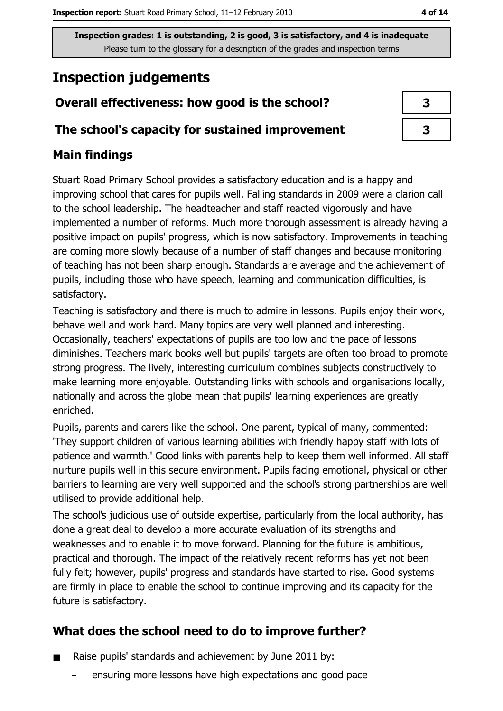# **Inspection judgements**

## Overall effectiveness: how good is the school?

#### The school's capacity for sustained improvement

## **Main findings**

Stuart Road Primary School provides a satisfactory education and is a happy and improving school that cares for pupils well. Falling standards in 2009 were a clarion call to the school leadership. The headteacher and staff reacted vigorously and have implemented a number of reforms. Much more thorough assessment is already having a positive impact on pupils' progress, which is now satisfactory. Improvements in teaching are coming more slowly because of a number of staff changes and because monitoring of teaching has not been sharp enough. Standards are average and the achievement of pupils, including those who have speech, learning and communication difficulties, is satisfactory.

Teaching is satisfactory and there is much to admire in lessons. Pupils enjoy their work, behave well and work hard. Many topics are very well planned and interesting. Occasionally, teachers' expectations of pupils are too low and the pace of lessons diminishes. Teachers mark books well but pupils' targets are often too broad to promote strong progress. The lively, interesting curriculum combines subjects constructively to make learning more enjoyable. Outstanding links with schools and organisations locally, nationally and across the globe mean that pupils' learning experiences are greatly enriched.

Pupils, parents and carers like the school. One parent, typical of many, commented: 'They support children of various learning abilities with friendly happy staff with lots of patience and warmth.' Good links with parents help to keep them well informed. All staff nurture pupils well in this secure environment. Pupils facing emotional, physical or other barriers to learning are very well supported and the school's strong partnerships are well utilised to provide additional help.

The school's judicious use of outside expertise, particularly from the local authority, has done a great deal to develop a more accurate evaluation of its strengths and weaknesses and to enable it to move forward. Planning for the future is ambitious, practical and thorough. The impact of the relatively recent reforms has yet not been fully felt; however, pupils' progress and standards have started to rise. Good systems are firmly in place to enable the school to continue improving and its capacity for the future is satisfactory.

## What does the school need to do to improve further?

- Raise pupils' standards and achievement by June 2011 by:
	- ensuring more lessons have high expectations and good pace

| 3 |  |
|---|--|
| 3 |  |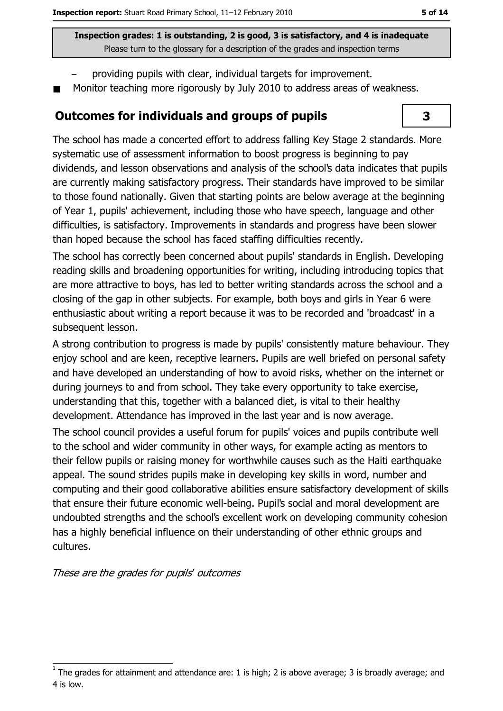- providing pupils with clear, individual targets for improvement.
- Monitor teaching more rigorously by July 2010 to address areas of weakness.

#### **Outcomes for individuals and groups of pupils**



The school has made a concerted effort to address falling Key Stage 2 standards, More systematic use of assessment information to boost progress is beginning to pay dividends, and lesson observations and analysis of the school's data indicates that pupils are currently making satisfactory progress. Their standards have improved to be similar to those found nationally. Given that starting points are below average at the beginning of Year 1, pupils' achievement, including those who have speech, language and other difficulties, is satisfactory. Improvements in standards and progress have been slower than hoped because the school has faced staffing difficulties recently.

The school has correctly been concerned about pupils' standards in English. Developing reading skills and broadening opportunities for writing, including introducing topics that are more attractive to boys, has led to better writing standards across the school and a closing of the gap in other subjects. For example, both boys and girls in Year 6 were enthusiastic about writing a report because it was to be recorded and 'broadcast' in a subsequent lesson.

A strong contribution to progress is made by pupils' consistently mature behaviour. They enjoy school and are keen, receptive learners. Pupils are well briefed on personal safety and have developed an understanding of how to avoid risks, whether on the internet or during journeys to and from school. They take every opportunity to take exercise, understanding that this, together with a balanced diet, is vital to their healthy development. Attendance has improved in the last year and is now average.

The school council provides a useful forum for pupils' voices and pupils contribute well to the school and wider community in other ways, for example acting as mentors to their fellow pupils or raising money for worthwhile causes such as the Haiti earthquake appeal. The sound strides pupils make in developing key skills in word, number and computing and their good collaborative abilities ensure satisfactory development of skills that ensure their future economic well-being. Pupil's social and moral development are undoubted strengths and the school's excellent work on developing community cohesion has a highly beneficial influence on their understanding of other ethnic groups and cultures.

These are the grades for pupils' outcomes

The grades for attainment and attendance are: 1 is high; 2 is above average; 3 is broadly average; and 4 is low.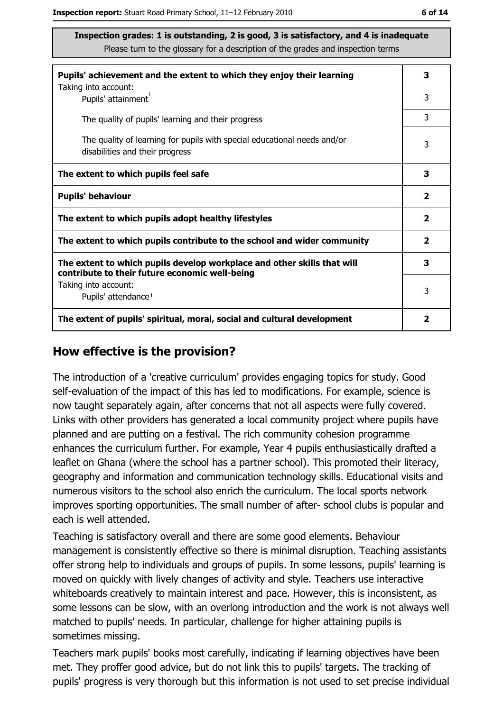| Pupils' achievement and the extent to which they enjoy their learning                                                     |              |
|---------------------------------------------------------------------------------------------------------------------------|--------------|
| Taking into account:<br>Pupils' attainment <sup>1</sup>                                                                   | 3            |
| The quality of pupils' learning and their progress                                                                        | 3            |
| The quality of learning for pupils with special educational needs and/or<br>disabilities and their progress               | 3            |
| The extent to which pupils feel safe                                                                                      | 3            |
| <b>Pupils' behaviour</b>                                                                                                  |              |
| The extent to which pupils adopt healthy lifestyles                                                                       | $\mathbf{2}$ |
| The extent to which pupils contribute to the school and wider community                                                   |              |
| The extent to which pupils develop workplace and other skills that will<br>contribute to their future economic well-being | 3            |
| Taking into account:<br>Pupils' attendance <sup>1</sup>                                                                   | 3            |
| The extent of pupils' spiritual, moral, social and cultural development                                                   | 2            |

#### How effective is the provision?

The introduction of a 'creative curriculum' provides engaging topics for study. Good self-evaluation of the impact of this has led to modifications. For example, science is now taught separately again, after concerns that not all aspects were fully covered. Links with other providers has generated a local community project where pupils have planned and are putting on a festival. The rich community cohesion programme enhances the curriculum further. For example, Year 4 pupils enthusiastically drafted a leaflet on Ghana (where the school has a partner school). This promoted their literacy, geography and information and communication technology skills. Educational visits and numerous visitors to the school also enrich the curriculum. The local sports network improves sporting opportunities. The small number of after-school clubs is popular and each is well attended.

Teaching is satisfactory overall and there are some good elements. Behaviour management is consistently effective so there is minimal disruption. Teaching assistants offer strong help to individuals and groups of pupils. In some lessons, pupils' learning is moved on quickly with lively changes of activity and style. Teachers use interactive whiteboards creatively to maintain interest and pace. However, this is inconsistent, as some lessons can be slow, with an overlong introduction and the work is not always well matched to pupils' needs. In particular, challenge for higher attaining pupils is sometimes missing.

Teachers mark pupils' books most carefully, indicating if learning objectives have been met. They proffer good advice, but do not link this to pupils' targets. The tracking of pupils' progress is very thorough but this information is not used to set precise individual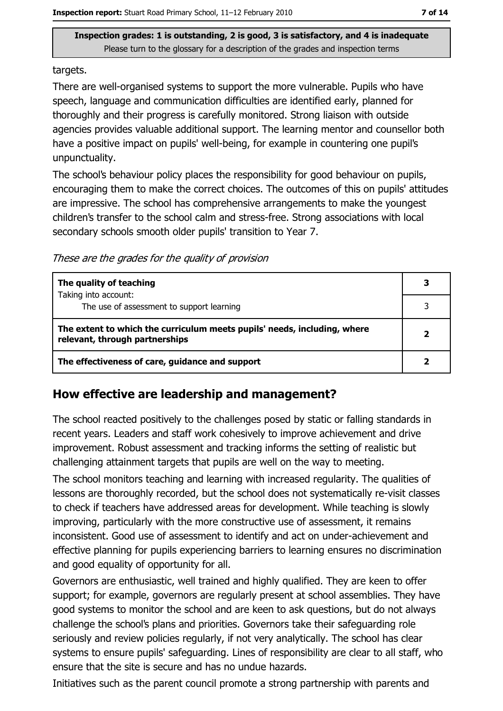targets.

There are well-organised systems to support the more vulnerable. Pupils who have speech, language and communication difficulties are identified early, planned for thoroughly and their progress is carefully monitored. Strong liaison with outside agencies provides valuable additional support. The learning mentor and counsellor both have a positive impact on pupils' well-being, for example in countering one pupil's unpunctuality.

The school's behaviour policy places the responsibility for good behaviour on pupils, encouraging them to make the correct choices. The outcomes of this on pupils' attitudes are impressive. The school has comprehensive arrangements to make the youngest children's transfer to the school calm and stress-free. Strong associations with local secondary schools smooth older pupils' transition to Year 7.

These are the grades for the quality of provision

| The quality of teaching                                                                                    | 3 |
|------------------------------------------------------------------------------------------------------------|---|
| Taking into account:<br>The use of assessment to support learning                                          |   |
| The extent to which the curriculum meets pupils' needs, including, where<br>relevant, through partnerships |   |
| The effectiveness of care, guidance and support                                                            |   |

#### How effective are leadership and management?

The school reacted positively to the challenges posed by static or falling standards in recent years. Leaders and staff work cohesively to improve achievement and drive improvement. Robust assessment and tracking informs the setting of realistic but challenging attainment targets that pupils are well on the way to meeting.

The school monitors teaching and learning with increased regularity. The qualities of lessons are thoroughly recorded, but the school does not systematically re-visit classes to check if teachers have addressed areas for development. While teaching is slowly improving, particularly with the more constructive use of assessment, it remains inconsistent. Good use of assessment to identify and act on under-achievement and effective planning for pupils experiencing barriers to learning ensures no discrimination and good equality of opportunity for all.

Governors are enthusiastic, well trained and highly qualified. They are keen to offer support; for example, governors are regularly present at school assemblies. They have good systems to monitor the school and are keen to ask guestions, but do not always challenge the school's plans and priorities. Governors take their safeguarding role seriously and review policies regularly, if not very analytically. The school has clear systems to ensure pupils' safeguarding. Lines of responsibility are clear to all staff, who ensure that the site is secure and has no undue hazards.

Initiatives such as the parent council promote a strong partnership with parents and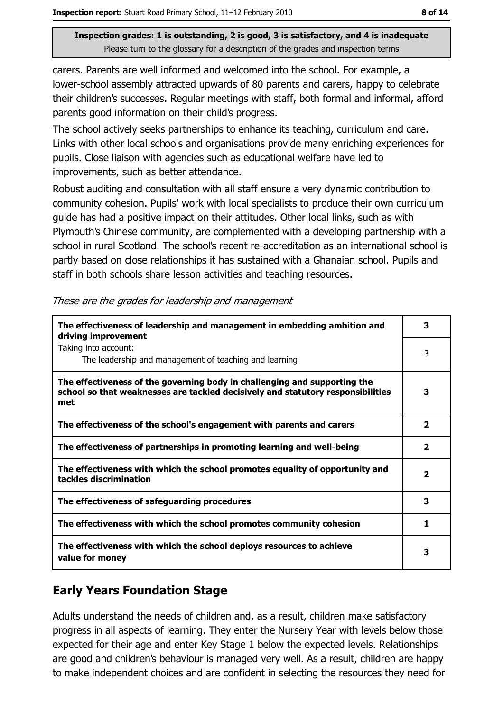carers. Parents are well informed and welcomed into the school. For example, a lower-school assembly attracted upwards of 80 parents and carers, happy to celebrate their children's successes. Regular meetings with staff, both formal and informal, afford parents good information on their child's progress.

The school actively seeks partnerships to enhance its teaching, curriculum and care. Links with other local schools and organisations provide many enriching experiences for pupils. Close liaison with agencies such as educational welfare have led to improvements, such as better attendance.

Robust auditing and consultation with all staff ensure a very dynamic contribution to community cohesion. Pupils' work with local specialists to produce their own curriculum quide has had a positive impact on their attitudes. Other local links, such as with Plymouth's Chinese community, are complemented with a developing partnership with a school in rural Scotland. The school's recent re-accreditation as an international school is partly based on close relationships it has sustained with a Ghanaian school. Pupils and staff in both schools share lesson activities and teaching resources.

| The effectiveness of leadership and management in embedding ambition and<br>driving improvement                                                                     | 3                       |
|---------------------------------------------------------------------------------------------------------------------------------------------------------------------|-------------------------|
| Taking into account:<br>The leadership and management of teaching and learning                                                                                      | 3                       |
| The effectiveness of the governing body in challenging and supporting the<br>school so that weaknesses are tackled decisively and statutory responsibilities<br>met | 3                       |
| The effectiveness of the school's engagement with parents and carers                                                                                                | $\overline{\mathbf{2}}$ |
| The effectiveness of partnerships in promoting learning and well-being                                                                                              | $\overline{\mathbf{2}}$ |
| The effectiveness with which the school promotes equality of opportunity and<br>tackles discrimination                                                              | $\overline{\mathbf{2}}$ |
| The effectiveness of safeguarding procedures                                                                                                                        | 3                       |
| The effectiveness with which the school promotes community cohesion                                                                                                 | 1                       |
| The effectiveness with which the school deploys resources to achieve<br>value for money                                                                             | 3                       |

These are the grades for leadership and management

## **Early Years Foundation Stage**

Adults understand the needs of children and, as a result, children make satisfactory progress in all aspects of learning. They enter the Nursery Year with levels below those expected for their age and enter Key Stage 1 below the expected levels. Relationships are good and children's behaviour is managed very well. As a result, children are happy to make independent choices and are confident in selecting the resources they need for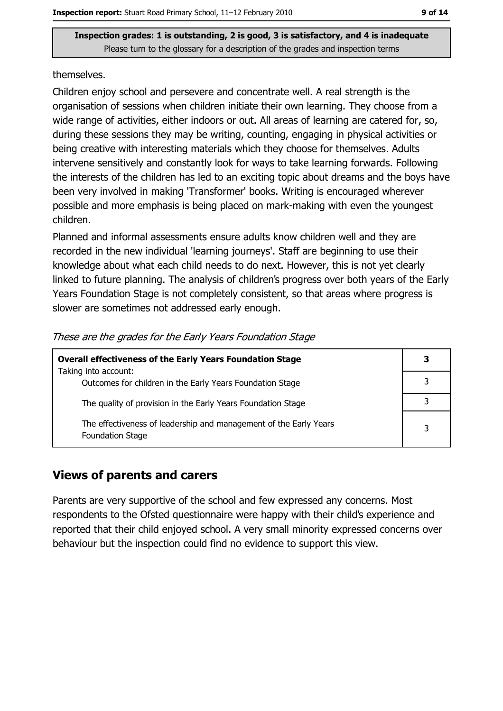#### themselves.

Children enjoy school and persevere and concentrate well. A real strength is the organisation of sessions when children initiate their own learning. They choose from a wide range of activities, either indoors or out. All areas of learning are catered for, so, during these sessions they may be writing, counting, engaging in physical activities or being creative with interesting materials which they choose for themselves. Adults intervene sensitively and constantly look for ways to take learning forwards. Following the interests of the children has led to an exciting topic about dreams and the boys have been very involved in making 'Transformer' books. Writing is encouraged wherever possible and more emphasis is being placed on mark-making with even the youngest children.

Planned and informal assessments ensure adults know children well and they are recorded in the new individual 'learning journeys'. Staff are beginning to use their knowledge about what each child needs to do next. However, this is not yet clearly linked to future planning. The analysis of children's progress over both years of the Early Years Foundation Stage is not completely consistent, so that areas where progress is slower are sometimes not addressed early enough.

| <b>Overall effectiveness of the Early Years Foundation Stage</b>                             | 3 |
|----------------------------------------------------------------------------------------------|---|
| Taking into account:                                                                         |   |
| Outcomes for children in the Early Years Foundation Stage                                    |   |
| The quality of provision in the Early Years Foundation Stage                                 |   |
|                                                                                              |   |
| The effectiveness of leadership and management of the Early Years<br><b>Foundation Stage</b> | 3 |

#### These are the grades for the Early Years Foundation Stage

#### **Views of parents and carers**

Parents are very supportive of the school and few expressed any concerns. Most respondents to the Ofsted questionnaire were happy with their child's experience and reported that their child enjoyed school. A very small minority expressed concerns over behaviour but the inspection could find no evidence to support this view.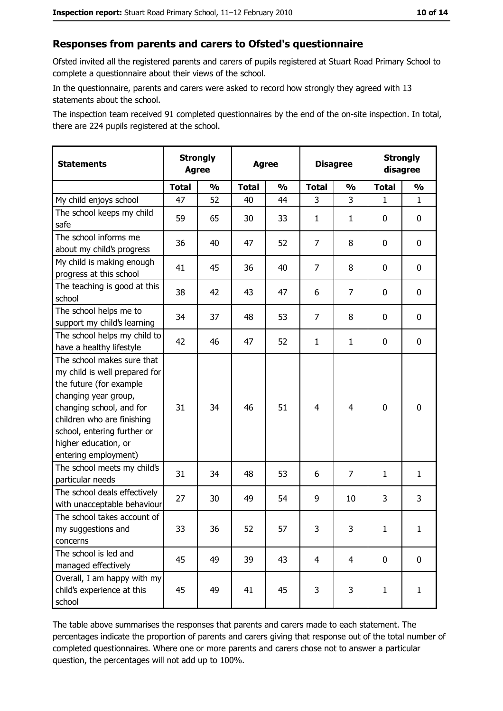## Responses from parents and carers to Ofsted's questionnaire

Ofsted invited all the registered parents and carers of pupils registered at Stuart Road Primary School to complete a questionnaire about their views of the school.

In the questionnaire, parents and carers were asked to record how strongly they agreed with 13 statements about the school.

The inspection team received 91 completed questionnaires by the end of the on-site inspection. In total, there are 224 pupils registered at the school.

| <b>Statements</b>                                                                                                                                                                                                                                       | <b>Strongly</b><br><b>Agree</b> |               | <b>Agree</b> |               | <b>Disagree</b> |                | <b>Strongly</b><br>disagree |               |
|---------------------------------------------------------------------------------------------------------------------------------------------------------------------------------------------------------------------------------------------------------|---------------------------------|---------------|--------------|---------------|-----------------|----------------|-----------------------------|---------------|
|                                                                                                                                                                                                                                                         | <b>Total</b>                    | $\frac{1}{2}$ | <b>Total</b> | $\frac{0}{0}$ | <b>Total</b>    | $\frac{0}{0}$  | <b>Total</b>                | $\frac{1}{2}$ |
| My child enjoys school                                                                                                                                                                                                                                  | 47                              | 52            | 40           | 44            | 3               | 3              | $\mathbf{1}$                | $\mathbf{1}$  |
| The school keeps my child<br>safe                                                                                                                                                                                                                       | 59                              | 65            | 30           | 33            | 1               | $\mathbf{1}$   | 0                           | 0             |
| The school informs me<br>about my child's progress                                                                                                                                                                                                      | 36                              | 40            | 47           | 52            | $\overline{7}$  | 8              | 0                           | 0             |
| My child is making enough<br>progress at this school                                                                                                                                                                                                    | 41                              | 45            | 36           | 40            | 7               | 8              | 0                           | 0             |
| The teaching is good at this<br>school                                                                                                                                                                                                                  | 38                              | 42            | 43           | 47            | 6               | 7              | 0                           | 0             |
| The school helps me to<br>support my child's learning                                                                                                                                                                                                   | 34                              | 37            | 48           | 53            | $\overline{7}$  | 8              | 0                           | 0             |
| The school helps my child to<br>have a healthy lifestyle                                                                                                                                                                                                | 42                              | 46            | 47           | 52            | $\mathbf{1}$    | $\mathbf{1}$   | 0                           | 0             |
| The school makes sure that<br>my child is well prepared for<br>the future (for example<br>changing year group,<br>changing school, and for<br>children who are finishing<br>school, entering further or<br>higher education, or<br>entering employment) | 31                              | 34            | 46           | 51            | $\overline{4}$  | 4              | $\mathbf 0$                 | 0             |
| The school meets my child's<br>particular needs                                                                                                                                                                                                         | 31                              | 34            | 48           | 53            | 6               | 7              | $\mathbf{1}$                | $\mathbf{1}$  |
| The school deals effectively<br>with unacceptable behaviour                                                                                                                                                                                             | 27                              | 30            | 49           | 54            | 9               | 10             | 3                           | 3             |
| The school takes account of<br>my suggestions and<br>concerns                                                                                                                                                                                           | 33                              | 36            | 52           | 57            | 3               | 3              | 1                           | $\mathbf{1}$  |
| The school is led and<br>managed effectively                                                                                                                                                                                                            | 45                              | 49            | 39           | 43            | $\overline{4}$  | $\overline{4}$ | 0                           | $\mathbf 0$   |
| Overall, I am happy with my<br>child's experience at this<br>school                                                                                                                                                                                     | 45                              | 49            | 41           | 45            | 3               | 3              | $\mathbf{1}$                | $\mathbf{1}$  |

The table above summarises the responses that parents and carers made to each statement. The percentages indicate the proportion of parents and carers giving that response out of the total number of completed questionnaires. Where one or more parents and carers chose not to answer a particular question, the percentages will not add up to 100%.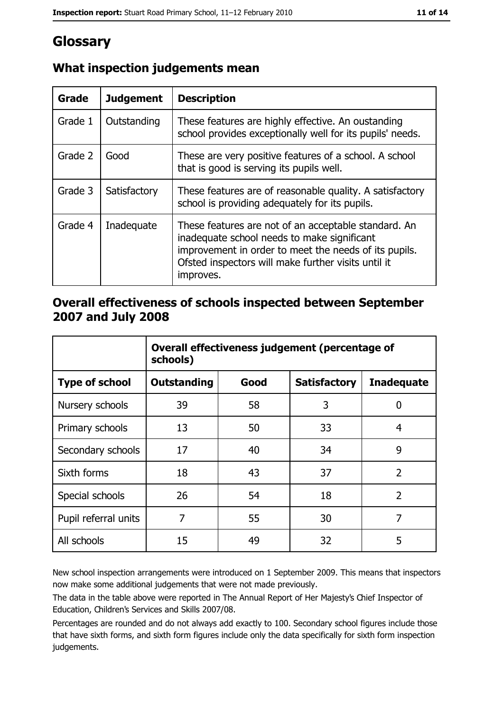# Glossary

| Grade   | <b>Judgement</b> | <b>Description</b>                                                                                                                                                                                                               |  |
|---------|------------------|----------------------------------------------------------------------------------------------------------------------------------------------------------------------------------------------------------------------------------|--|
| Grade 1 | Outstanding      | These features are highly effective. An oustanding<br>school provides exceptionally well for its pupils' needs.                                                                                                                  |  |
| Grade 2 | Good             | These are very positive features of a school. A school<br>that is good is serving its pupils well.                                                                                                                               |  |
| Grade 3 | Satisfactory     | These features are of reasonable quality. A satisfactory<br>school is providing adequately for its pupils.                                                                                                                       |  |
| Grade 4 | Inadequate       | These features are not of an acceptable standard. An<br>inadequate school needs to make significant<br>improvement in order to meet the needs of its pupils.<br>Ofsted inspectors will make further visits until it<br>improves. |  |

## What inspection judgements mean

#### Overall effectiveness of schools inspected between September 2007 and July 2008

|                       | Overall effectiveness judgement (percentage of<br>schools) |      |                     |                   |
|-----------------------|------------------------------------------------------------|------|---------------------|-------------------|
| <b>Type of school</b> | <b>Outstanding</b>                                         | Good | <b>Satisfactory</b> | <b>Inadequate</b> |
| Nursery schools       | 39                                                         | 58   | 3                   | 0                 |
| Primary schools       | 13                                                         | 50   | 33                  | 4                 |
| Secondary schools     | 17                                                         | 40   | 34                  | 9                 |
| Sixth forms           | 18                                                         | 43   | 37                  | $\overline{2}$    |
| Special schools       | 26                                                         | 54   | 18                  | $\overline{2}$    |
| Pupil referral units  | 7                                                          | 55   | 30                  | 7                 |
| All schools           | 15                                                         | 49   | 32                  | 5                 |

New school inspection arrangements were introduced on 1 September 2009. This means that inspectors now make some additional judgements that were not made previously.

The data in the table above were reported in The Annual Report of Her Majesty's Chief Inspector of Education, Children's Services and Skills 2007/08.

Percentages are rounded and do not always add exactly to 100. Secondary school figures include those that have sixth forms, and sixth form figures include only the data specifically for sixth form inspection judgements.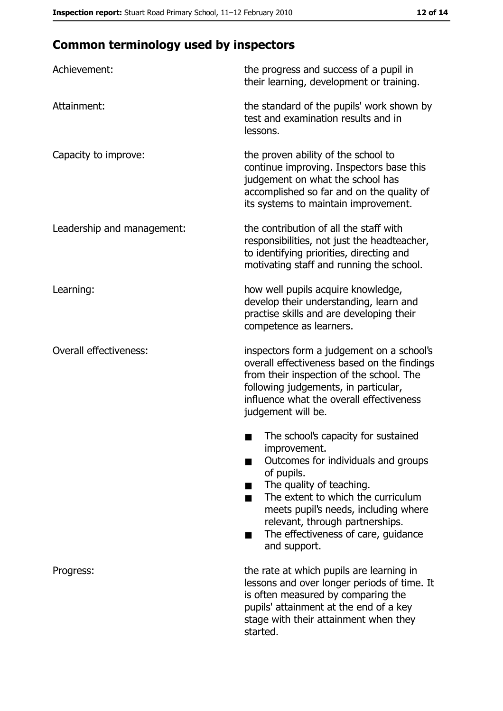# **Common terminology used by inspectors**

| Achievement:                  | the progress and success of a pupil in<br>their learning, development or training.                                                                                                                                                                                                                           |
|-------------------------------|--------------------------------------------------------------------------------------------------------------------------------------------------------------------------------------------------------------------------------------------------------------------------------------------------------------|
| Attainment:                   | the standard of the pupils' work shown by<br>test and examination results and in<br>lessons.                                                                                                                                                                                                                 |
| Capacity to improve:          | the proven ability of the school to<br>continue improving. Inspectors base this<br>judgement on what the school has<br>accomplished so far and on the quality of<br>its systems to maintain improvement.                                                                                                     |
| Leadership and management:    | the contribution of all the staff with<br>responsibilities, not just the headteacher,<br>to identifying priorities, directing and<br>motivating staff and running the school.                                                                                                                                |
| Learning:                     | how well pupils acquire knowledge,<br>develop their understanding, learn and<br>practise skills and are developing their<br>competence as learners.                                                                                                                                                          |
| <b>Overall effectiveness:</b> | inspectors form a judgement on a school's<br>overall effectiveness based on the findings<br>from their inspection of the school. The<br>following judgements, in particular,<br>influence what the overall effectiveness<br>judgement will be.                                                               |
|                               | The school's capacity for sustained<br>improvement.<br>Outcomes for individuals and groups<br>of pupils.<br>The quality of teaching.<br>The extent to which the curriculum<br>meets pupil's needs, including where<br>relevant, through partnerships.<br>The effectiveness of care, guidance<br>and support. |
| Progress:                     | the rate at which pupils are learning in<br>lessons and over longer periods of time. It<br>is often measured by comparing the<br>pupils' attainment at the end of a key<br>stage with their attainment when they<br>started.                                                                                 |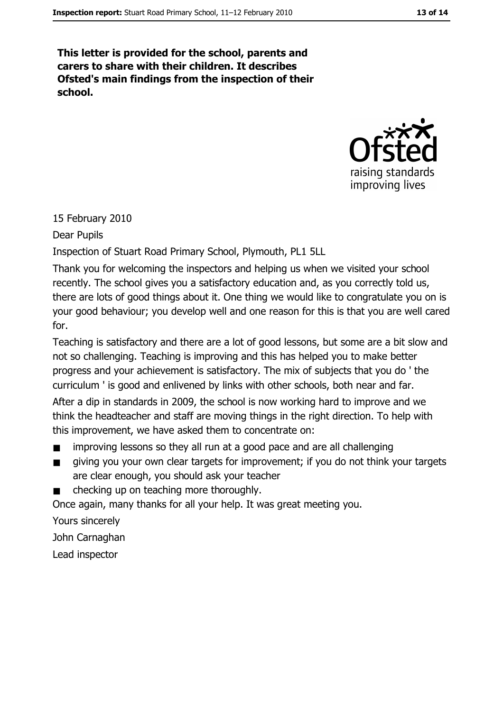This letter is provided for the school, parents and carers to share with their children. It describes Ofsted's main findings from the inspection of their school.



#### 15 February 2010

Dear Pupils

Inspection of Stuart Road Primary School, Plymouth, PL1 5LL

Thank you for welcoming the inspectors and helping us when we visited your school recently. The school gives you a satisfactory education and, as you correctly told us, there are lots of good things about it. One thing we would like to congratulate you on is your good behaviour; you develop well and one reason for this is that you are well cared for.

Teaching is satisfactory and there are a lot of good lessons, but some are a bit slow and not so challenging. Teaching is improving and this has helped you to make better progress and your achievement is satisfactory. The mix of subjects that you do 'the curriculum ' is good and enlivened by links with other schools, both near and far.

After a dip in standards in 2009, the school is now working hard to improve and we think the headteacher and staff are moving things in the right direction. To help with this improvement, we have asked them to concentrate on:

- improving lessons so they all run at a good pace and are all challenging
- giving you your own clear targets for improvement; if you do not think your targets  $\blacksquare$ are clear enough, you should ask your teacher
- checking up on teaching more thoroughly.

Once again, many thanks for all your help. It was great meeting you.

Yours sincerely

John Carnaghan

Lead inspector